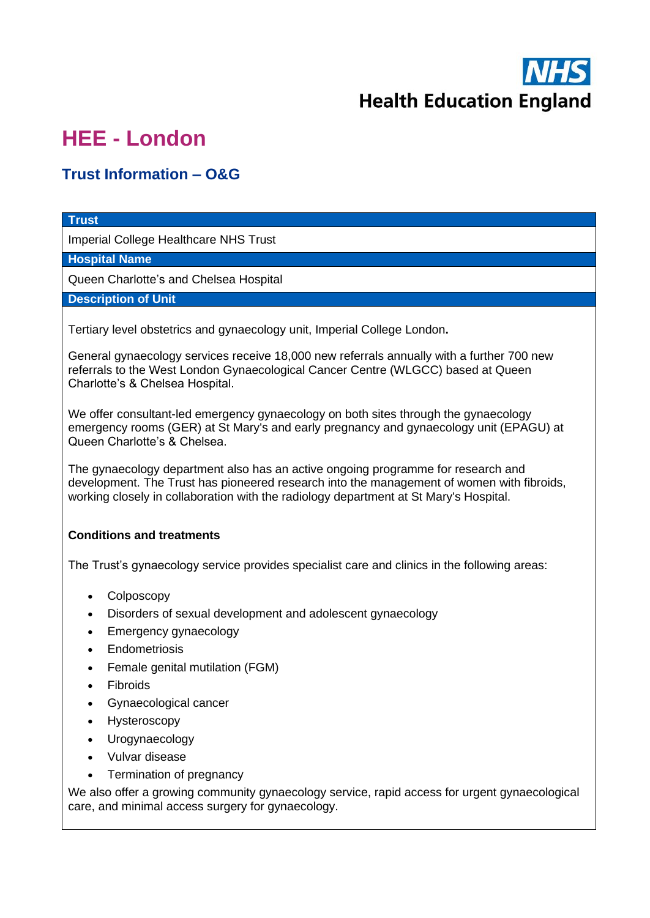

## **HEE - London**

## **Trust Information – O&G**

## **Trust**

Imperial College Healthcare NHS Trust

**Hospital Name**

Queen Charlotte's and Chelsea Hospital

**Description of Unit**

Tertiary level obstetrics and gynaecology unit, Imperial College London**.**

General gynaecology services receive 18,000 new referrals annually with a further 700 new referrals to the West London Gynaecological Cancer Centre (WLGCC) based at Queen Charlotte's & Chelsea Hospital.

We offer consultant-led emergency gynaecology on both sites through the gynaecology emergency rooms (GER) at St Mary's and early pregnancy and gynaecology unit (EPAGU) at Queen Charlotte's & Chelsea.

The gynaecology department also has an active ongoing programme for research and development. The Trust has pioneered research into the management of women with fibroids, working closely in collaboration with the radiology department at St Mary's Hospital.

## **Conditions and treatments**

The Trust's gynaecology service provides specialist care and clinics in the following areas:

- Colposcopy
- Disorders of sexual development and adolescent gynaecology
- Emergency gynaecology
- **Endometriosis**
- [Female genital mutilation \(FGM\)](https://www.imperial.nhs.uk/our-services/common-services/fgm-clinics)
- **Fibroids**
- Gynaecological cancer
- **Hysteroscopy**
- Urogynaecology
- Vulvar disease
- Termination of pregnancy

We also offer a growing community gynaecology service, rapid access for urgent gynaecological care, and minimal access surgery for gynaecology.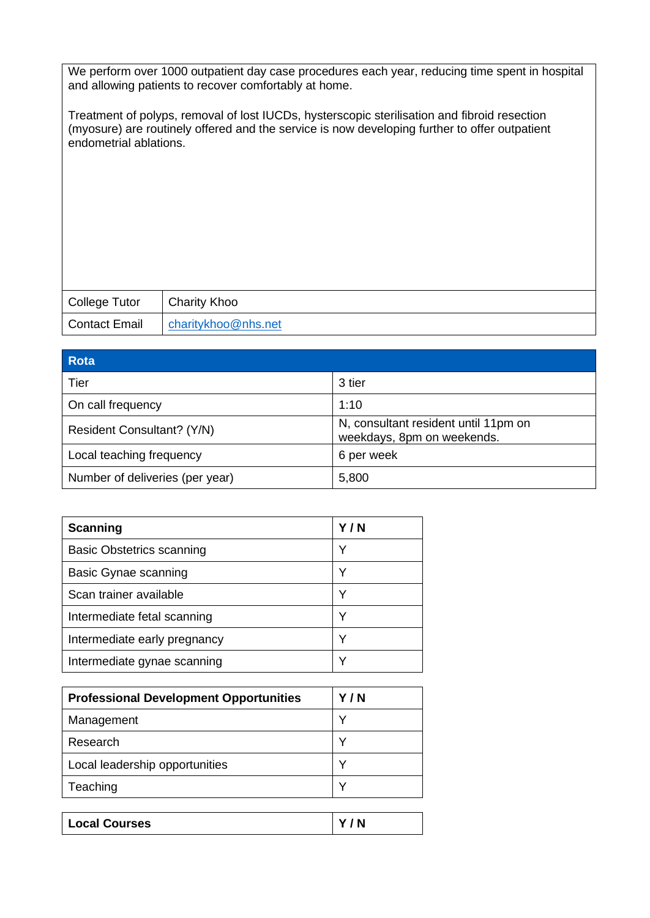We perform over 1000 outpatient day case procedures each year, reducing time spent in hospital and allowing patients to recover comfortably at home.

Treatment of polyps, removal of lost IUCDs, hysterscopic sterilisation and fibroid resection (myosure) are routinely offered and the service is now developing further to offer outpatient endometrial ablations.

| College Tutor | <b>Charity Khoo</b> |
|---------------|---------------------|
| Contact Email | charitykhoo@nhs.net |

| Rota                            |                                                                    |
|---------------------------------|--------------------------------------------------------------------|
| Tier                            | 3 tier                                                             |
| On call frequency               | 1:10                                                               |
| Resident Consultant? (Y/N)      | N, consultant resident until 11pm on<br>weekdays, 8pm on weekends. |
| Local teaching frequency        | 6 per week                                                         |
| Number of deliveries (per year) | 5,800                                                              |

| <b>Scanning</b>                  | Y/N |
|----------------------------------|-----|
| <b>Basic Obstetrics scanning</b> | Υ   |
| Basic Gynae scanning             | Υ   |
| Scan trainer available           | v   |
| Intermediate fetal scanning      | v   |
| Intermediate early pregnancy     | Υ   |
| Intermediate gynae scanning      | ∨   |

| <b>Professional Development Opportunities</b> | Y/N |
|-----------------------------------------------|-----|
| Management                                    | ν   |
| Research                                      | ν   |
| Local leadership opportunities                | ν   |
| Teaching                                      | ◡   |

| <b>Local Courses</b> | v<br>N |
|----------------------|--------|
|                      |        |